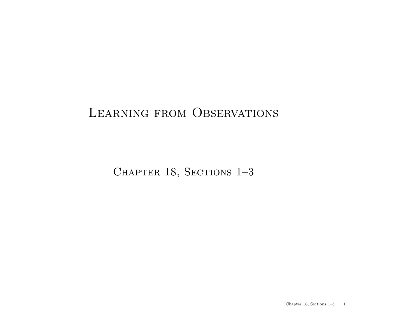### LEARNING FROM OBSERVATIONS

CHAPTER 18, SECTIONS 1-3

Chapter 18, Sections  $1-3$  1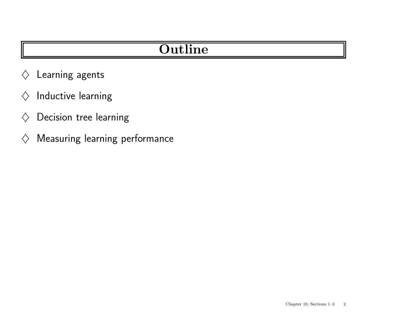## **Outline**

- $\diamondsuit$  Learning agents
- $\diamondsuit$  Inductive learning
- $\diamondsuit$  Decision tree learning
- $\diamondsuit$  Measuring learning performance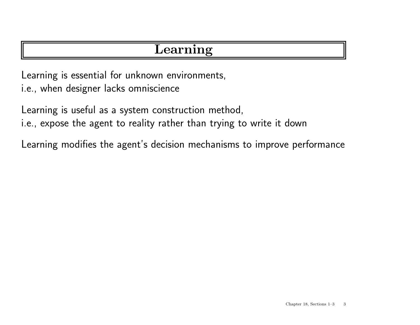### Learning

Learning is essential for unknown environments,

i.e., when designer lacks omniscience

Learning is useful as <sup>a</sup> system construction method,

i.e., expose the agen<sup>t</sup> to reality rather than trying to write it down

Learning modifies the agent's decision mechanisms to improve performance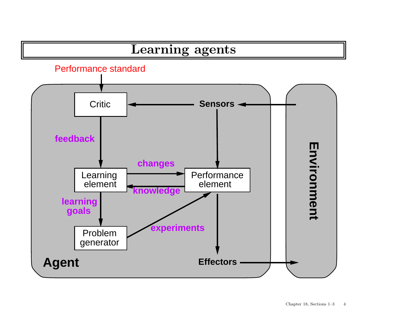# Learning agents



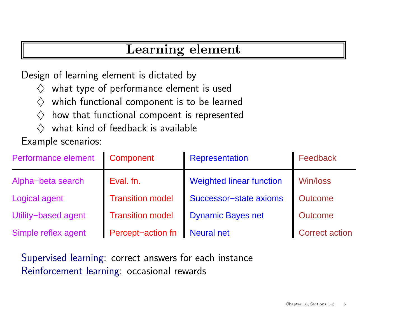### Learning element

Design of learning element is dictated by

- $\diamondsuit$  what type of performance element is used
- $\diamondsuit$  which functional component is to be learned
- $\diamondsuit$  how that functional compoent is represented
- $\Diamond$  what kind of feedback is available

Example scenarios:

| Performance element | Component               | <b>Representation</b>           | Feedback              |
|---------------------|-------------------------|---------------------------------|-----------------------|
| Alpha-beta search   | Eval. fn.               | <b>Weighted linear function</b> | Win/loss              |
| Logical agent       | <b>Transition model</b> | Successor-state axioms          | Outcome               |
| Utility-based agent | <b>Transition model</b> | <b>Dynamic Bayes net</b>        | <b>Outcome</b>        |
| Simple reflex agent | Percept-action fn       | <b>Neural net</b>               | <b>Correct action</b> |

Supervised learning: correct answers for each instance Reinforcement learning: occasional rewards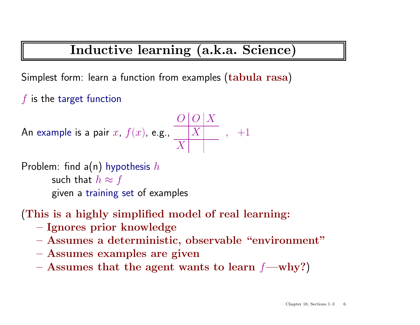# Inductive learning (a.k.a. Science)

Simplest form: learn <sup>a</sup> function from examples (tabula rasa)

 $f$  is the target function

An example is a pair 
$$
x
$$
,  $f(x)$ , e.g., 
$$
\frac{O|O|X}{|X|}, +1
$$

Problem: find a(n) hypothesis h  
such that 
$$
h \approx f
$$
  
given a training set of examples

#### (This is <sup>a</sup> highly simplified model of real learning:

- Ignores prior knowledge
- Assumes <sup>a</sup> deterministic, observable "environment"
- Assumes examples are given
- Assumes that the agent wants to learn  $f$ —why?)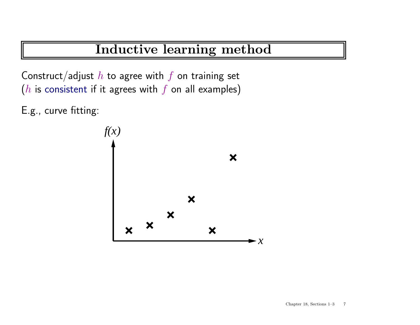Construct/adjust  $h$  to agree with  $f$  on training set ( $h$  is consistent if it agrees with  $f$  on all examples)

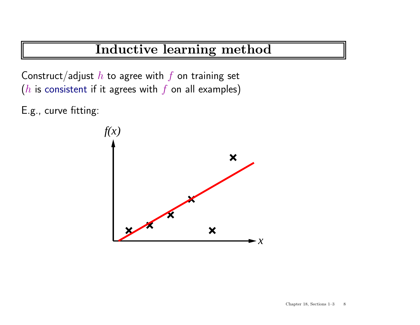Construct/adjust  $h$  to agree with  $f$  on training set ( $h$  is consistent if it agrees with  $f$  on all examples)

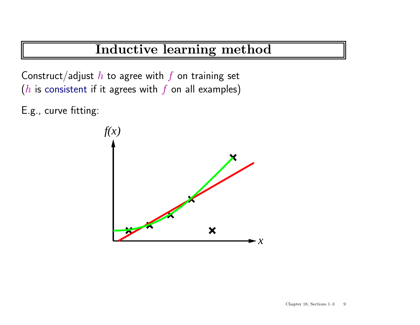Construct/adjust  $h$  to agree with  $f$  on training set ( $h$  is consistent if it agrees with  $f$  on all examples)

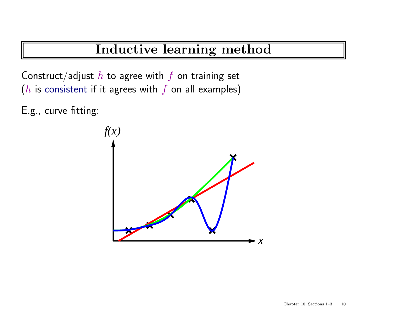Construct/adjust  $h$  to agree with  $f$  on training set ( $h$  is consistent if it agrees with  $f$  on all examples)

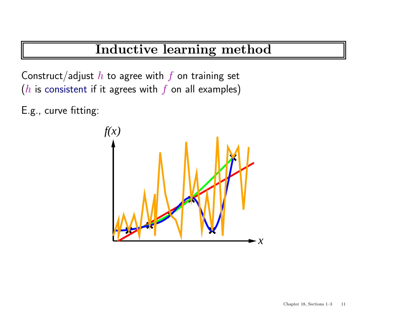Construct/adjust  $h$  to agree with  $f$  on training set ( $h$  is consistent if it agrees with  $f$  on all examples)

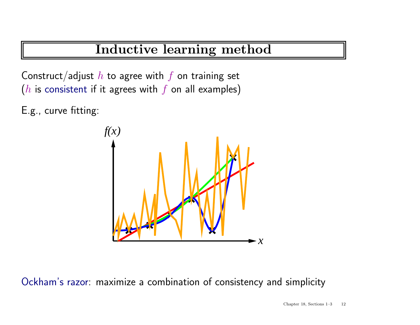Construct/adjust  $h$  to agree with  $f$  on training set ( $h$  is consistent if it agrees with  $f$  on all examples)

E.g., curve fitting:



Ockham's razor: maximize <sup>a</sup> combination of consistency and simplicity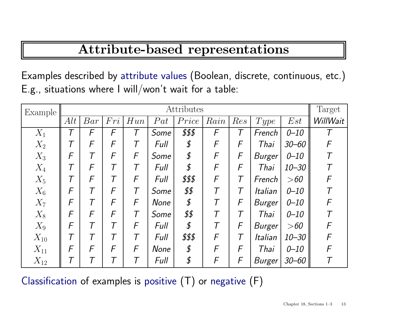## Attribute-based representations

Examples described by attribute values (Boolean, discrete, continuous, etc.) E.g., situations where <sup>I</sup> will/won't wait for <sup>a</sup> table:

| Example  | Attributes |                          |     |                          |             |        |      |                          |                |           | Target     |
|----------|------------|--------------------------|-----|--------------------------|-------------|--------|------|--------------------------|----------------|-----------|------------|
|          | Alt        | Bar                      | Fri | Hun                      | Pat         | Price  | Rain | Res                      | Type           | Est       | WillWait   |
| $X_1$    |            | F                        | F   | $\overline{\mathcal{T}}$ | Some        | \$\$\$ | F    | $\overline{\mathcal{T}}$ | French         | $0 - 10$  |            |
| $X_2$    |            | F                        | F   | T                        | Full        | \$     | F    | F                        | Thai           | $30 - 60$ | F          |
| $X_3$    | F          | T                        | F   | F                        | Some        | \$     | F    | F                        | <b>Burger</b>  | $0 - 10$  |            |
| $X_4$    |            | F                        |     | Τ                        | Full        | \$     | F    | F                        | Thai           | $10 - 30$ |            |
| $X_5$    | $\tau$     | F                        | Τ   | F                        | Full        | \$\$\$ | F    | $\mathcal T$             | French         | >60       | $\sqrt{F}$ |
| $X_6$    | F          | T                        | F   | Τ                        | Some        | \$\$   |      |                          | <i>Italian</i> | $0 - 10$  |            |
| $X_7$    | F          | $\overline{\mathcal{T}}$ | F   | F                        | None        | \$     |      | F                        | Burger         | $0 - 10$  | F          |
| $X_8$    | F          | F                        | F   | $\overline{\mathcal{T}}$ | Some        | \$\$   |      | $\overline{T}$           | Thai           | $0 - 10$  |            |
| $X_9$    | F          | $\tau$                   |     | $\sqrt{2}$               | Full        | \$     |      | F                        | Burger         | >60       | F          |
| $X_{10}$ |            | $\overline{\tau}$        |     | T                        | Full        | \$\$\$ | F    | T                        | Italian        | $10 - 30$ | F          |
| $X_{11}$ | F          | F                        | F   | F                        | <b>None</b> | \$     | F    | F                        | Thai           | $0 - 10$  | F          |
| $X_{12}$ |            |                          |     |                          | Full        | \$     | F    | F                        | <b>Burger</b>  | $30 - 60$ |            |

Classification of examples is positive  $(T)$  or negative  $(F)$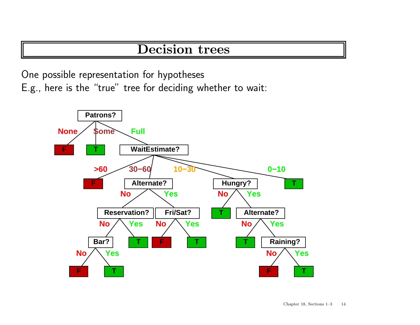#### Decision trees

One possible representation for hypotheses E.g., here is the "true" tree for deciding whether to wait:

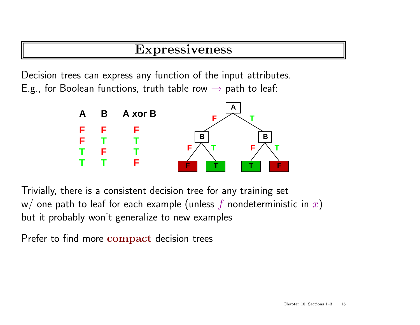#### Expressiveness

Decision trees can express any function of the input attributes. E.g., for Boolean functions, truth table row  $\rightarrow$  path to leaf:



Trivially, there is <sup>a</sup> consistent decision tree for any training set w/ one path to leaf for each example (unless f nondeterministic in x) but it probably won't generalize to new examples

Prefer to find more compact decision trees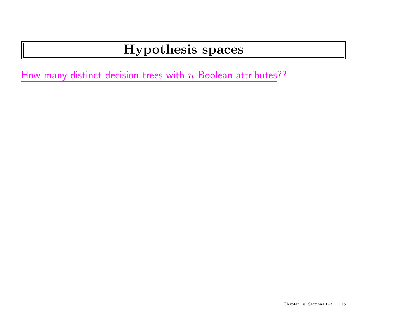How many distinct decision trees with  $n$  Boolean attributes??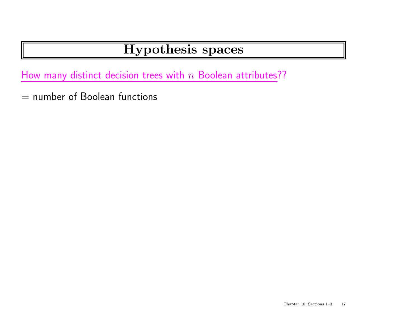How many distinct decision trees with  $n$  Boolean attributes??

 $=$  number of Boolean functions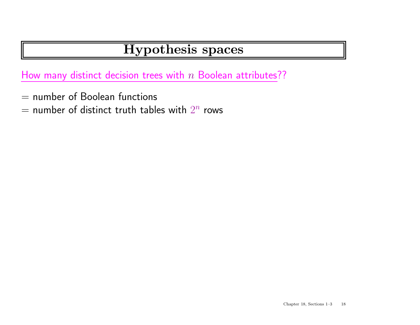How many distinct decision trees with  $n$  Boolean attributes??

- $=$  number of Boolean functions
- $=$  number of distinct truth tables with  $2^n$  rows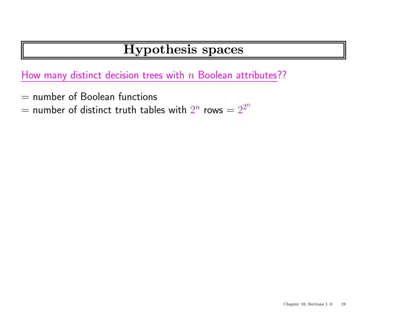How many distinct decision trees with  $n$  Boolean attributes??

- $=$  number of Boolean functions
- $=$  number of distinct truth tables with  $2^n$  rows  $= 2^{2^n}$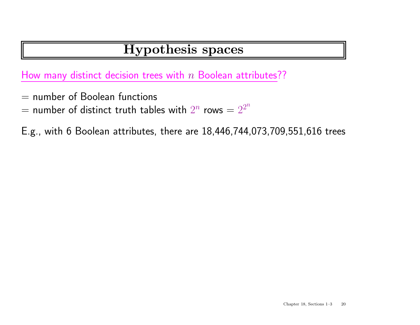How many distinct decision trees with  $n$  Boolean attributes??

- $=$  number of Boolean functions
- $=$  number of distinct truth tables with  $2^n$  rows  $= 2^{2^n}$

E.g., with 6 Boolean attributes, there are 18,446,744,073,709,551,616 trees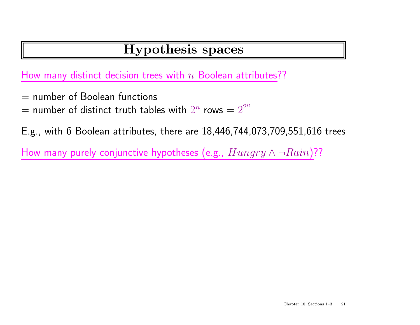How many distinct decision trees with  $n$  Boolean attributes??

- $=$  number of Boolean functions
- $=$  number of distinct truth tables with  $2^n$  rows  $= 2^{2^n}$

E.g., with 6 Boolean attributes, there are 18,446,744,073,709,551,616 trees

How many purely conjunctive hypotheses (e.g.,  $Hungry \wedge \neg Rain$ )??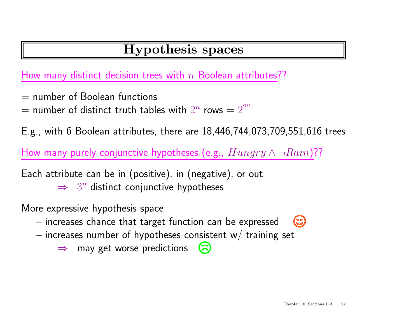How many distinct decision trees with  $n$  Boolean attributes??

- $=$  number of Boolean functions
- $=$  number of distinct truth tables with  $2^n$  rows  $= 2^{2^n}$

E.g., with 6 Boolean attributes, there are 18,446,744,073,709,551,616 trees

How many purely conjunctive hypotheses (e.g.,  $Hungry \wedge \neg Rain$ )??

Each attribute can be in (positive), in (negative), or out

 $\Rightarrow$  3<sup>n</sup> distinct conjunctive hypotheses

More expressive hypothesis space

- – $\hbox{--}$  increases chance that target function can be expressed
- increases number of hypotheses consistent w $\!/$  training set
	- $\Rightarrow$  may get worse predictions  $\tilde{\mathbf{z}}$

 $\left(\mathbb{C}\right)$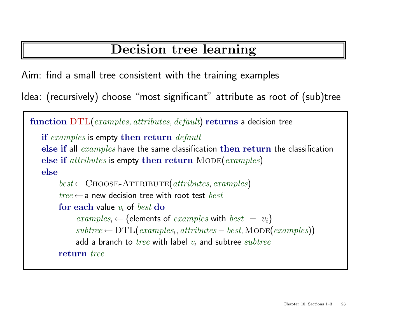## Decision tree learning

Aim: find <sup>a</sup> small tree consistent with the training examples

Idea: (recursively) choose "most significant" attribute as root of (sub)tree

```
function DTL(examples, attributes, default) returns a decision tree
if examples is empty then return default
else if all examples have the same classification then return the classification
else if attributes is empty then return Mode \{examples\}else
     best \leftarrowCHOOSE-ATTRIBUTE(attributes, examples)
     tree \leftarrow a new decision tree with root test bestfor each value v_i of best do
          examples_i \leftarrow {\text{elements of } examples with best = v_i}subtree \leftarrow DTL(examples_i, attributes - best, \text{MoDE}(examples))add a branch to tree with label v_i and subtree subtree
     return tree
```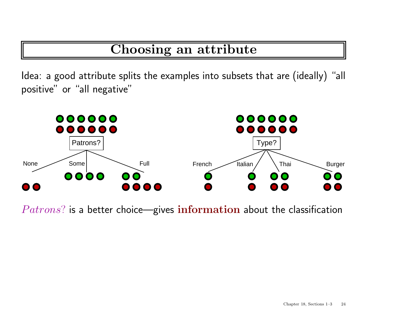### Choosing an attribute

Idea: <sup>a</sup> good attribute splits the examples into subsets that are (ideally) "all positive" or "all negative"



 $Patrons$ ? is a better choice—gives information about the classification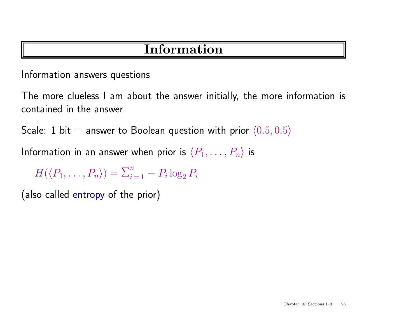### **Information**

Information answers questions

The more clueless I am about the answer initially, the more information is contained in the answer

Scale: 1 bit = answer to Boolean question with prior  $\langle 0.5, 0.5 \rangle$ 

Information in an answer when prior is  $\langle P_1, \ldots, P_n \rangle$  is

 $H(\langle P_1,\ldots,P_n\rangle)=\sum_{i=1}^n-P_i\log_2 P_i$ 

(also called entropy of the prior)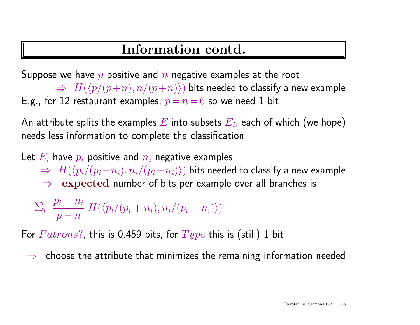### Information contd.

Suppose we have  $p$  positive and  $n$  negative examples at the root

 $\Rightarrow H(\langle p/(p+n), n/(p+n)\rangle)$  bits needed to classify a new example E.g., for 12 restaurant examples,  $p = n = 6$  so we need 1 bit

An attribute splits the examples  $E$  into subsets  $E_i$ , each of which (we hope) needs less information to complete the classification

Let  $E_i$  have  $p_i$  positive and  $n_i$  negative examples  $\Rightarrow H(\langle p_i/(p_i+n_i), n_i/(p_i+n_i)\rangle)$  bits needed to classify a new example  $\Rightarrow$  expected number of bits per example over all branches is

$$
\Sigma_i \frac{p_i + n_i}{p + n} H(\langle p_i/(p_i + n_i), n_i/(p_i + n_i) \rangle)
$$

For  $Patrons$ ?, this is 0.459 bits, for  $Type$  this is (still) 1 bit

<sup>⇒</sup> choose the attribute that minimizes the remaining information needed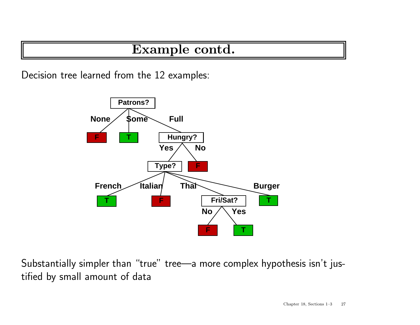### Example contd.

Decision tree learned from the 12 examples:



Substantially simpler than "true" tree—a more complex hypothesis isn't justified by small amount of data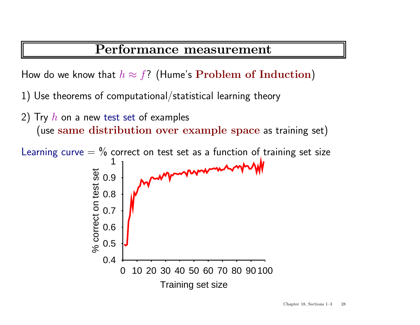#### Performance measurement

How do we know that  $h \approx f$ ? (Hume's Problem of Induction)

1) Use theorems of computational/statistical learning theory

2) Try  $h$  on a new test set of examples (use same distribution over example space as training set)

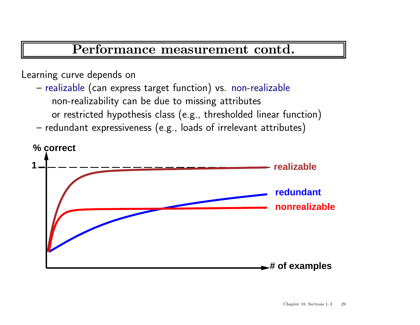#### Performance measurement contd.

#### Learning curve depends on

- – $-$  realizable (can express target function) vs. non-realizable non-realizability can be due to missing attributes or restricted hypothesis class (e.g., thresholded linear function)
- –– redundant expressiveness (e.g., loads of irrelevant attributes)